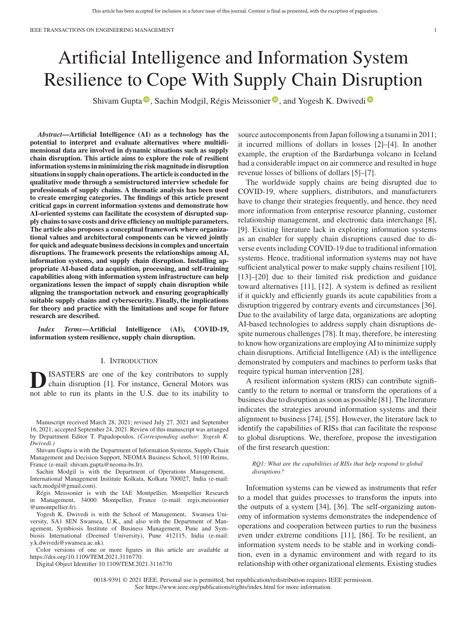# Artificial Intelligence and Information System Resilience to Cope With Supply Chain Disruption

Shivam Gupta <sup>to</sup>[,](https://orcid.org/0000-0003-4709-2582) Sachin Modgil, Régis Meissonier <sup>to</sup>, and Yogesh K. Dwivedi<sup>to</sup>

*Abstract***—Artificial Intelligence (AI) as a technology has the potential to interpret and evaluate alternatives where multidimensional data are involved in dynamic situations such as supply chain disruption. This article aims to explore the role of resilient information systems in minimizing the risk magnitude in disruption situations in supply chain operations. The article is conducted in the qualitative mode through a semistructured interview schedule for professionals of supply chains. A thematic analysis has been used to create emerging categories. The findings of this article present critical gaps in current information systems and demonstrate how AI-oriented systems can facilitate the ecosystem of disrupted supply chains to save costs and drive efficiency on multiple parameters. The article also proposes a conceptual framework where organizational values and architectural components can be viewed jointly for quick and adequate business decisions in complex and uncertain disruptions. The framework presents the relationships among AI, information systems, and supply chain disruption. Installing appropriate AI-based data acquisition, processing, and self-training capabilities along with information system infrastructure can help organizations lessen the impact of supply chain disruption while aligning the transportation network and ensuring geographically suitable supply chains and cybersecurity. Finally, the implications for theory and practice with the limitations and scope for future research are described.**

*Index Terms***—Artificial Intelligence (AI), COVID-19, information system resilience, supply chain disruption.**

# I. INTRODUCTION

ISASTERS are one of the key contributors to supply chain disruption [1]. For instance, General Motors was not able to run its plants in the U.S. due to its inability to

Manuscript received March 28, 2021; revised July 27, 2021 and September 16, 2021; accepted September 24, 2021. Review of this manuscript was arranged by Department Editor T. Papadopoulos. *(Corresponding author: Yogesh K. Dwivedi.)*

Shivam Gupta is with the Department of Information Systems, Supply Chain Management and Decision Support, NEOMA Business School, 51100 Reims, France (e-mail: [shivam.gupta@neoma-bs.fr\)](mailto:shivam.gupta@neoma-bs.fr).

Sachin Modgil is with the Department of Operations Management, International Management Institute Kolkata, Kolkata 700027, India (e-mail: [sach.modgil@gmail.com\)](mailto:sach.modgil@gmail.com).

Régis Meissonier is with the IAE Montpellier, Montpellier Research in Management, 34000 Montpellier, France (e-mail: [regis.meissonier](mailto:regis.meissonier@umontpellier.fr) [@umontpellier.fr\)](mailto:regis.meissonier@umontpellier.fr).

Yogesh K. Dwivedi is with the School of Management, Swansea University, SA1 8EN Swansea, U.K., and also with the Department of Management, Symbiosis Institute of Business Management, Pune and Symbiosis International (Deemed University), Pune 412115, India (e-mail: [y.k.dwivedi@swansea.ac.uk\)](mailto:y.k.dwivedi@swansea.ac.uk).

Color versions of one or more figures in this article are available at [https://doi.org/10.1109/TEM.2021.3116770.](https://doi.org/10.1109/TEM.2021.3116770)

Digital Object Identifier 10.1109/TEM.2021.3116770

source autocomponents from Japan following a tsunami in 2011; it incurred millions of dollars in losses [2]–[4]. In another example, the eruption of the Bardarbunga volcano in Iceland had a considerable impact on air commerce and resulted in huge revenue losses of billions of dollars [5]–[7].

The worldwide supply chains are being disrupted due to COVID-19, where suppliers, distributors, and manufacturers have to change their strategies frequently, and hence, they need more information from enterprise resource planning, customer relationship management, and electronic data interchange [8], [9]. Existing literature lack in exploring information systems as an enabler for supply chain disruptions caused due to diverse events including COVID-19 due to traditional information systems. Hence, traditional information systems may not have sufficient analytical power to make supply chains resilient [10], [13]–[20] due to their limited risk prediction and guidance toward alternatives [11], [12]. A system is defined as resilient if it quickly and efficiently guards its acute capabilities from a disruption triggered by contrary events and circumstances [36]. Due to the availability of large data, organizations are adopting AI-based technologies to address supply chain disruptions despite numerous challenges [78]. It may, therefore, be interesting to know how organizations are employing AI to minimize supply chain disruptions. Artificial Intelligence (AI) is the intelligence demonstrated by computers and machines to perform tasks that require typical human intervention [28].

A resilient information system (RIS) can contribute significantly to the return to normal or transform the operations of a business due to disruption as soon as possible [81]. The literature indicates the strategies around information systems and their alignment to business [74], [55]. However, the literature lack to identify the capabilities of RISs that can facilitate the response to global disruptions. We, therefore, propose the investigation of the first research question:

*RQ1: What are the capabilities of RISs that help respond to global disruptions?*

Information systems can be viewed as instruments that refer to a model that guides processes to transform the inputs into the outputs of a system [34], [36]. The self-organizing autonomy of information systems demonstrates the independence of operations and cooperation between parties to run the business even under extreme conditions [11], [86]. To be resilient, an information system needs to be stable and in working condition, even in a dynamic environment and with regard to its relationship with other organizational elements. Existing studies

0018-9391 © 2021 IEEE. Personal use is permitted, but republication/redistribution requires IEEE permission. See https://www.ieee.org/publications/rights/index.html for more information.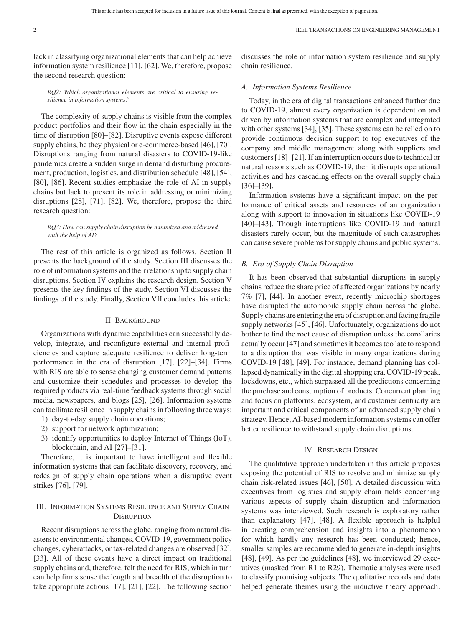lack in classifying organizational elements that can help achieve information system resilience [11], [62]. We, therefore, propose the second research question:

discusses the role of information system resilience and supply chain resilience.

# *RQ2: Which organizational elements are critical to ensuring resilience in information systems?*

The complexity of supply chains is visible from the complex product portfolios and their flow in the chain especially in the time of disruption [80]–[82]. Disruptive events expose different supply chains, be they physical or e-commerce-based [46], [70]. Disruptions ranging from natural disasters to COVID-19-like pandemics create a sudden surge in demand disturbing procurement, production, logistics, and distribution schedule [48], [54], [80], [86]. Recent studies emphasize the role of AI in supply chains but lack to present its role in addressing or minimizing disruptions [28], [71], [82]. We, therefore, propose the third research question:

# *RQ3: How can supply chain disruption be minimized and addressed with the help of AI?*

The rest of this article is organized as follows. Section II presents the background of the study. Section III discusses the role of information systems and their relationship to supply chain disruptions. Section IV explains the research design. Section V presents the key findings of the study. Section VI discusses the findings of the study. Finally, Section VII concludes this article.

# II BACKGROUND

Organizations with dynamic capabilities can successfully develop, integrate, and reconfigure external and internal proficiencies and capture adequate resilience to deliver long-term performance in the era of disruption [17], [22]–[34]. Firms with RIS are able to sense changing customer demand patterns and customize their schedules and processes to develop the required products via real-time feedback systems through social media, newspapers, and blogs [25], [26]. Information systems can facilitate resilience in supply chains in following three ways:

- 1) day-to-day supply chain operations;
- 2) support for network optimization;
- 3) identify opportunities to deploy Internet of Things (IoT), blockchain, and AI [27]–[31].

Therefore, it is important to have intelligent and flexible information systems that can facilitate discovery, recovery, and redesign of supply chain operations when a disruptive event strikes [76], [79].

# III. INFORMATION SYSTEMS RESILIENCE AND SUPPLY CHAIN **DISRUPTION**

Recent disruptions across the globe, ranging from natural disasters to environmental changes, COVID-19, government policy changes, cyberattacks, or tax-related changes are observed [32], [33]. All of these events have a direct impact on traditional supply chains and, therefore, felt the need for RIS, which in turn can help firms sense the length and breadth of the disruption to take appropriate actions [17], [21], [22]. The following section

# *A. Information Systems Resilience*

Today, in the era of digital transactions enhanced further due to COVID-19, almost every organization is dependent on and driven by information systems that are complex and integrated with other systems [34], [35]. These systems can be relied on to provide continuous decision support to top executives of the company and middle management along with suppliers and customers [18]–[21]. If an interruption occurs due to technical or natural reasons such as COVID-19, then it disrupts operational activities and has cascading effects on the overall supply chain [36]–[39].

Information systems have a significant impact on the performance of critical assets and resources of an organization along with support to innovation in situations like COVID-19 [40]–[43]. Though interruptions like COVID-19 and natural disasters rarely occur, but the magnitude of such catastrophes can cause severe problems for supply chains and public systems.

# *B. Era of Supply Chain Disruption*

It has been observed that substantial disruptions in supply chains reduce the share price of affected organizations by nearly 7% [7], [44]. In another event, recently microchip shortages have disrupted the automobile supply chain across the globe. Supply chains are entering the era of disruption and facing fragile supply networks [45], [46]. Unfortunately, organizations do not bother to find the root cause of disruption unless the corollaries actually occur [47] and sometimes it becomes too late to respond to a disruption that was visible in many organizations during COVID-19 [48], [49]. For instance, demand planning has collapsed dynamically in the digital shopping era, COVID-19 peak, lockdowns, etc., which surpassed all the predictions concerning the purchase and consumption of products. Concurrent planning and focus on platforms, ecosystem, and customer centricity are important and critical components of an advanced supply chain strategy. Hence, AI-based modern information systems can offer better resilience to withstand supply chain disruptions.

# IV. RESEARCH DESIGN

The qualitative approach undertaken in this article proposes exposing the potential of RIS to resolve and minimize supply chain risk-related issues [46], [50]. A detailed discussion with executives from logistics and supply chain fields concerning various aspects of supply chain disruption and information systems was interviewed. Such research is exploratory rather than explanatory [47], [48]. A flexible approach is helpful in creating comprehension and insights into a phenomenon for which hardly any research has been conducted; hence, smaller samples are recommended to generate in-depth insights [48], [49]. As per the guidelines [48], we interviewed 29 executives (masked from R1 to R29). Thematic analyses were used to classify promising subjects. The qualitative records and data helped generate themes using the inductive theory approach.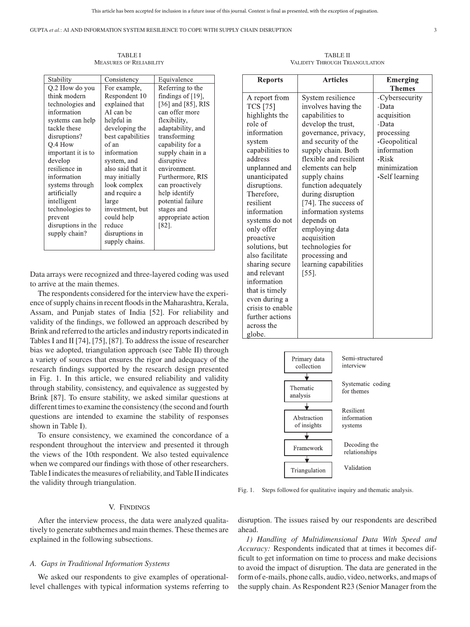GUPTA *et al.*: AI AND INFORMATION SYSTEM RESILIENCE TO COPE WITH SUPPLY CHAIN DISRUPTION 3

TABLE I MEASURES OF RELIABILITY

| Stability          | Consistency       | Equivalence          |
|--------------------|-------------------|----------------------|
| Q.2 How do you     | For example,      | Referring to the     |
| think modern       | Respondent 10     | findings of $[19]$ , |
| technologies and   | explained that    | [36] and [85], RIS   |
| information        | AI can be         | can offer more       |
| systems can help   | helpful in        | flexibility,         |
| tackle these       | developing the    | adaptability, and    |
| disruptions?       | best capabilities | transforming         |
| Q.4 How            | of an             | capability for a     |
| important it is to | information       | supply chain in a    |
| develop            | system, and       | disruptive           |
| resilience in      | also said that it | environment.         |
| information        | may initially     | Furthermore, RIS     |
| systems through    | look complex      | can proactively      |
| artificially       | and require a     | help identify        |
| intelligent        | large             | potential failure    |
| technologies to    | investment, but   | stages and           |
| prevent            | could help        | appropriate action   |
| disruptions in the | reduce            | [82].                |
| supply chain?      | disruptions in    |                      |
|                    | supply chains.    |                      |
|                    |                   |                      |

Data arrays were recognized and three-layered coding was used to arrive at the main themes.

The respondents considered for the interview have the experience of supply chains in recent floods in the Maharashtra, Kerala, Assam, and Punjab states of India [52]. For reliability and validity of the findings, we followed an approach described by Brink and referred to the articles and industry reports indicated in Tables I and II [74], [75], [87]. To address the issue of researcher bias we adopted, triangulation approach (see Table II) through a variety of sources that ensures the rigor and adequacy of the research findings supported by the research design presented in Fig. 1. In this article, we ensured reliability and validity through stability, consistency, and equivalence as suggested by Brink [87]. To ensure stability, we asked similar questions at different times to examine the consistency (the second and fourth questions are intended to examine the stability of responses shown in Table I).

To ensure consistency, we examined the concordance of a respondent throughout the interview and presented it through the views of the 10th respondent. We also tested equivalence when we compared our findings with those of other researchers. Table I indicates the measures of reliability, and Table II indicates the validity through triangulation.

# V. FINDINGS

After the interview process, the data were analyzed qualitatively to generate subthemes and main themes. These themes are explained in the following subsections.

## *A. Gaps in Traditional Information Systems*

We asked our respondents to give examples of operationallevel challenges with typical information systems referring to

TABLE II VALIDITY THROUGH TRIANGULATION

| <b>Reports</b>   | <b>Articles</b>        | <b>Emerging</b> |
|------------------|------------------------|-----------------|
|                  |                        | <b>Themes</b>   |
| A report from    | System resilience      | -Cybersecurity  |
| <b>TCS</b> [75]  | involves having the    | -Data           |
| highlights the   | capabilities to        | acquisition     |
| role of          | develop the trust,     | -Data           |
| information      | governance, privacy,   | processing      |
| system           | and security of the    | -Geopolitical   |
| capabilities to  | supply chain. Both     | information     |
| address          | flexible and resilient | -Risk           |
| unplanned and    | elements can help      | minimization    |
| unanticipated    | supply chains          | -Self learning  |
| disruptions.     | function adequately    |                 |
| Therefore,       | during disruption      |                 |
| resilient        | [74]. The success of   |                 |
| information      | information systems    |                 |
| systems do not   | depends on             |                 |
| only offer       | employing data         |                 |
| proactive        | acquisition            |                 |
| solutions, but   | technologies for       |                 |
| also facilitate  | processing and         |                 |
| sharing secure   | learning capabilities  |                 |
| and relevant     | [55].                  |                 |
| information      |                        |                 |
| that is timely   |                        |                 |
| even during a    |                        |                 |
| crisis to enable |                        |                 |
| further actions  |                        |                 |
| across the       |                        |                 |
| globe.           |                        |                 |



Fig. 1. Steps followed for qualitative inquiry and thematic analysis.

disruption. The issues raised by our respondents are described ahead.

*1) Handling of Multidimensional Data With Speed and Accuracy:* Respondents indicated that at times it becomes difficult to get information on time to process and make decisions to avoid the impact of disruption. The data are generated in the form of e-mails, phone calls, audio, video, networks, and maps of the supply chain. As Respondent R23 (Senior Manager from the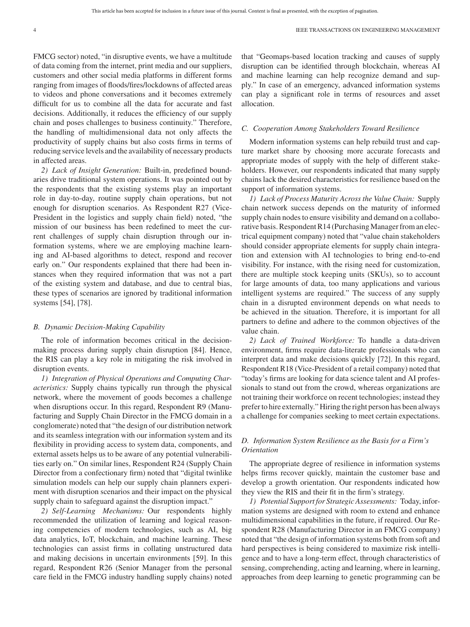FMCG sector) noted, "in disruptive events, we have a multitude of data coming from the internet, print media and our suppliers, customers and other social media platforms in different forms ranging from images of floods/fires/lockdowns of affected areas to videos and phone conversations and it becomes extremely difficult for us to combine all the data for accurate and fast decisions. Additionally, it reduces the efficiency of our supply chain and poses challenges to business continuity." Therefore, the handling of multidimensional data not only affects the productivity of supply chains but also costs firms in terms of reducing service levels and the availability of necessary products in affected areas.

*2) Lack of Insight Generation:* Built-in, predefined boundaries drive traditional system operations. It was pointed out by the respondents that the existing systems play an important role in day-to-day, routine supply chain operations, but not enough for disruption scenarios. As Respondent R27 (Vice-President in the logistics and supply chain field) noted, "the mission of our business has been redefined to meet the current challenges of supply chain disruption through our information systems, where we are employing machine learning and AI-based algorithms to detect, respond and recover early on." Our respondents explained that there had been instances when they required information that was not a part of the existing system and database, and due to central bias, these types of scenarios are ignored by traditional information systems [54], [78].

# *B. Dynamic Decision-Making Capability*

The role of information becomes critical in the decisionmaking process during supply chain disruption [84]. Hence, the RIS can play a key role in mitigating the risk involved in disruption events.

*1) Integration of Physical Operations and Computing Characteristics:* Supply chains typically run through the physical network, where the movement of goods becomes a challenge when disruptions occur. In this regard, Respondent R9 (Manufacturing and Supply Chain Director in the FMCG domain in a conglomerate) noted that "the design of our distribution network and its seamless integration with our information system and its flexibility in providing access to system data, components, and external assets helps us to be aware of any potential vulnerabilities early on." On similar lines, Respondent R24 (Supply Chain Director from a confectionary firm) noted that "digital twinlike simulation models can help our supply chain planners experiment with disruption scenarios and their impact on the physical supply chain to safeguard against the disruption impact."

*2) Self-Learning Mechanisms:* Our respondents highly recommended the utilization of learning and logical reasoning competencies of modern technologies, such as AI, big data analytics, IoT, blockchain, and machine learning. These technologies can assist firms in collating unstructured data and making decisions in uncertain environments [59]. In this regard, Respondent R26 (Senior Manager from the personal care field in the FMCG industry handling supply chains) noted

that "Geomaps-based location tracking and causes of supply disruption can be identified through blockchain, whereas AI and machine learning can help recognize demand and supply." In case of an emergency, advanced information systems can play a significant role in terms of resources and asset allocation.

### *C. Cooperation Among Stakeholders Toward Resilience*

Modern information systems can help rebuild trust and capture market share by choosing more accurate forecasts and appropriate modes of supply with the help of different stakeholders. However, our respondents indicated that many supply chains lack the desired characteristics for resilience based on the support of information systems.

*1) Lack of Process Maturity Across the Value Chain:* Supply chain network success depends on the maturity of informed supply chain nodes to ensure visibility and demand on a collaborative basis. Respondent R14 (Purchasing Manager from an electrical equipment company) noted that "value chain stakeholders should consider appropriate elements for supply chain integration and extension with AI technologies to bring end-to-end visibility. For instance, with the rising need for customization, there are multiple stock keeping units (SKUs), so to account for large amounts of data, too many applications and various intelligent systems are required." The success of any supply chain in a disrupted environment depends on what needs to be achieved in the situation. Therefore, it is important for all partners to define and adhere to the common objectives of the value chain.

*2) Lack of Trained Workforce:* To handle a data-driven environment, firms require data-literate professionals who can interpret data and make decisions quickly [72]. In this regard, Respondent R18 (Vice-President of a retail company) noted that "today's firms are looking for data science talent and AI professionals to stand out from the crowd, whereas organizations are not training their workforce on recent technologies; instead they prefer to hire externally." Hiring the right person has been always a challenge for companies seeking to meet certain expectations.

# *D. Information System Resilience as the Basis for a Firm's Orientation*

The appropriate degree of resilience in information systems helps firms recover quickly, maintain the customer base and develop a growth orientation. Our respondents indicated how they view the RIS and their fit in the firm's strategy.

*1) Potential Support for Strategic Assessments:* Today, information systems are designed with room to extend and enhance multidimensional capabilities in the future, if required. Our Respondent R28 (Manufacturing Director in an FMCG company) noted that "the design of information systems both from soft and hard perspectives is being considered to maximize risk intelligence and to have a long-term effect, through characteristics of sensing, comprehending, acting and learning, where in learning, approaches from deep learning to genetic programming can be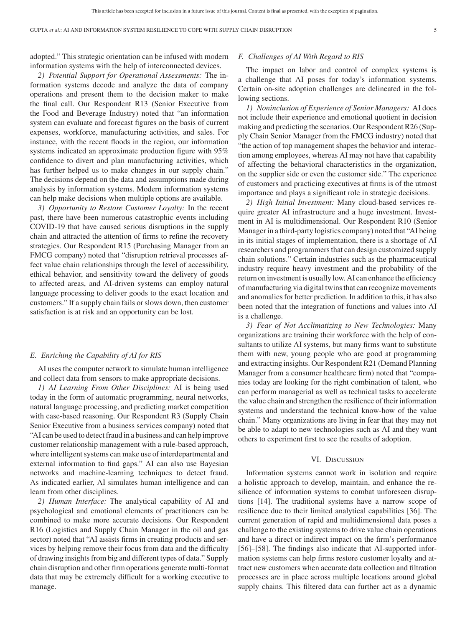adopted." This strategic orientation can be infused with modern information systems with the help of interconnected devices.

*2) Potential Support for Operational Assessments:* The information systems decode and analyze the data of company operations and present them to the decision maker to make the final call. Our Respondent R13 (Senior Executive from the Food and Beverage Industry) noted that "an information system can evaluate and forecast figures on the basis of current expenses, workforce, manufacturing activities, and sales. For instance, with the recent floods in the region, our information systems indicated an approximate production figure with 95% confidence to divert and plan manufacturing activities, which has further helped us to make changes in our supply chain." The decisions depend on the data and assumptions made during analysis by information systems. Modern information systems can help make decisions when multiple options are available.

*3) Opportunity to Restore Customer Loyalty:* In the recent past, there have been numerous catastrophic events including COVID-19 that have caused serious disruptions in the supply chain and attracted the attention of firms to refine the recovery strategies. Our Respondent R15 (Purchasing Manager from an FMCG company) noted that "disruption retrieval processes affect value chain relationships through the level of accessibility, ethical behavior, and sensitivity toward the delivery of goods to affected areas, and AI-driven systems can employ natural language processing to deliver goods to the exact location and customers." If a supply chain fails or slows down, then customer satisfaction is at risk and an opportunity can be lost.

#### *E. Enriching the Capability of AI for RIS*

AI uses the computer network to simulate human intelligence and collect data from sensors to make appropriate decisions.

*1) AI Learning From Other Disciplines:* AI is being used today in the form of automatic programming, neural networks, natural language processing, and predicting market competition with case-based reasoning. Our Respondent R3 (Supply Chain Senior Executive from a business services company) noted that "AI can be used to detect fraud in a business and can help improve customer relationship management with a rule-based approach, where intelligent systems can make use of interdepartmental and external information to find gaps." AI can also use Bayesian networks and machine-learning techniques to detect fraud. As indicated earlier, AI simulates human intelligence and can learn from other disciplines.

*2) Human Interface:* The analytical capability of AI and psychological and emotional elements of practitioners can be combined to make more accurate decisions. Our Respondent R16 (Logistics and Supply Chain Manager in the oil and gas sector) noted that "AI assists firms in creating products and services by helping remove their focus from data and the difficulty of drawing insights from big and different types of data." Supply chain disruption and other firm operations generate multi-format data that may be extremely difficult for a working executive to manage.

# *F. Challenges of AI With Regard to RIS*

The impact on labor and control of complex systems is a challenge that AI poses for today's information systems. Certain on-site adoption challenges are delineated in the following sections.

*1) Noninclusion of Experience of Senior Managers:* AI does not include their experience and emotional quotient in decision making and predicting the scenarios. Our Respondent R26 (Supply Chain Senior Manager from the FMCG industry) noted that "the action of top management shapes the behavior and interaction among employees, whereas AI may not have that capability of affecting the behavioral characteristics in the organization, on the supplier side or even the customer side." The experience of customers and practicing executives at firms is of the utmost importance and plays a significant role in strategic decisions.

*2) High Initial Investment:* Many cloud-based services require greater AI infrastructure and a huge investment. Investment in AI is multidimensional. Our Respondent R10 (Senior Manager in a third-party logistics company) noted that "AI being in its initial stages of implementation, there is a shortage of AI researchers and programmers that can design customized supply chain solutions." Certain industries such as the pharmaceutical industry require heavy investment and the probability of the return on investment is usually low. AI can enhance the efficiency of manufacturing via digital twins that can recognize movements and anomalies for better prediction. In addition to this, it has also been noted that the integration of functions and values into AI is a challenge.

*3) Fear of Not Acclimatizing to New Technologies:* Many organizations are training their workforce with the help of consultants to utilize AI systems, but many firms want to substitute them with new, young people who are good at programming and extracting insights. Our Respondent R21 (Demand Planning Manager from a consumer healthcare firm) noted that "companies today are looking for the right combination of talent, who can perform managerial as well as technical tasks to accelerate the value chain and strengthen the resilience of their information systems and understand the technical know-how of the value chain." Many organizations are living in fear that they may not be able to adapt to new technologies such as AI and they want others to experiment first to see the results of adoption.

#### VI. DISCUSSION

Information systems cannot work in isolation and require a holistic approach to develop, maintain, and enhance the resilience of information systems to combat unforeseen disruptions [14]. The traditional systems have a narrow scope of resilience due to their limited analytical capabilities [36]. The current generation of rapid and multidimensional data poses a challenge to the existing systems to drive value chain operations and have a direct or indirect impact on the firm's performance [56]–[58]. The findings also indicate that AI-supported information systems can help firms restore customer loyalty and attract new customers when accurate data collection and filtration processes are in place across multiple locations around global supply chains. This filtered data can further act as a dynamic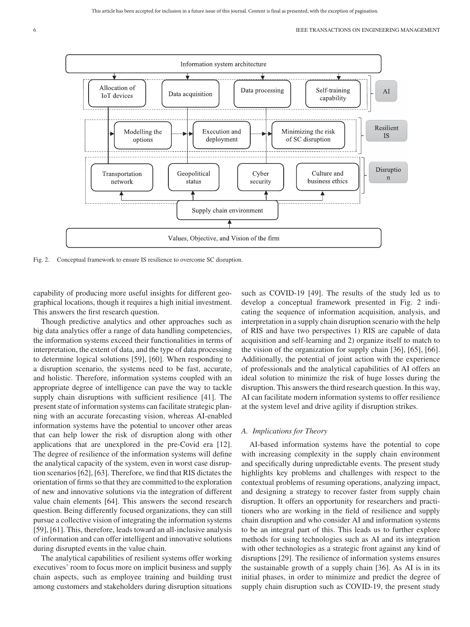

Fig. 2. Conceptual framework to ensure IS resilience to overcome SC disruption.

capability of producing more useful insights for different geographical locations, though it requires a high initial investment. This answers the first research question.

Though predictive analytics and other approaches such as big data analytics offer a range of data handling competencies, the information systems exceed their functionalities in terms of interpretation, the extent of data, and the type of data processing to determine logical solutions [59], [60]. When responding to a disruption scenario, the systems need to be fast, accurate, and holistic. Therefore, information systems coupled with an appropriate degree of intelligence can pave the way to tackle supply chain disruptions with sufficient resilience [41]. The present state of information systems can facilitate strategic planning with an accurate forecasting vision, whereas AI-enabled information systems have the potential to uncover other areas that can help lower the risk of disruption along with other applications that are unexplored in the pre-Covid era [12]. The degree of resilience of the information systems will define the analytical capacity of the system, even in worst case disruption scenarios [62], [63]. Therefore, we find that RIS dictates the orientation of firms so that they are committed to the exploration of new and innovative solutions via the integration of different value chain elements [64]. This answers the second research question. Being differently focused organizations, they can still pursue a collective vision of integrating the information systems [59], [61]. This, therefore, leads toward an all-inclusive analysis of information and can offer intelligent and innovative solutions during disrupted events in the value chain.

The analytical capabilities of resilient systems offer working executives' room to focus more on implicit business and supply chain aspects, such as employee training and building trust among customers and stakeholders during disruption situations such as COVID-19 [49]. The results of the study led us to develop a conceptual framework presented in Fig. 2 indicating the sequence of information acquisition, analysis, and interpretation in a supply chain disruption scenario with the help of RIS and have two perspectives 1) RIS are capable of data acquisition and self-learning and 2) organize itself to match to the vision of the organization for supply chain [36], [65], [66]. Additionally, the potential of joint action with the experience of professionals and the analytical capabilities of AI offers an ideal solution to minimize the risk of huge losses during the disruption. This answers the third research question. In this way, AI can facilitate modern information systems to offer resilience at the system level and drive agility if disruption strikes.

# *A. Implications for Theory*

AI-based information systems have the potential to cope with increasing complexity in the supply chain environment and specifically during unpredictable events. The present study highlights key problems and challenges with respect to the contextual problems of resuming operations, analyzing impact, and designing a strategy to recover faster from supply chain disruption. It offers an opportunity for researchers and practitioners who are working in the field of resilience and supply chain disruption and who consider AI and information systems to be an integral part of this. This leads us to further explore methods for using technologies such as AI and its integration with other technologies as a strategic front against any kind of disruptions [29]. The resilience of information systems ensures the sustainable growth of a supply chain [36]. As AI is in its initial phases, in order to minimize and predict the degree of supply chain disruption such as COVID-19, the present study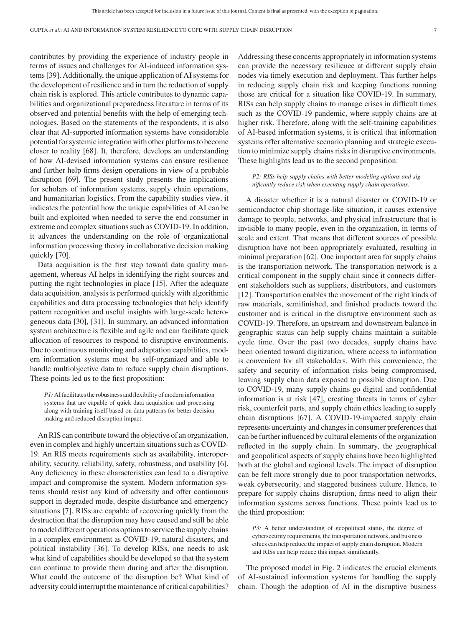contributes by providing the experience of industry people in terms of issues and challenges for AI-induced information systems [39]. Additionally, the unique application of AI systems for the development of resilience and in turn the reduction of supply chain risk is explored. This article contributes to dynamic capabilities and organizational preparedness literature in terms of its observed and potential benefits with the help of emerging technologies. Based on the statements of the respondents, it is also clear that AI-supported information systems have considerable potential for systemic integration with other platforms to become closer to reality [68]. It, therefore, develops an understanding of how AI-devised information systems can ensure resilience and further help firms design operations in view of a probable disruption [69]. The present study presents the implications for scholars of information systems, supply chain operations, and humanitarian logistics. From the capability studies view, it indicates the potential how the unique capabilities of AI can be built and exploited when needed to serve the end consumer in extreme and complex situations such as COVID-19. In addition, it advances the understanding on the role of organizational information processing theory in collaborative decision making quickly [70].

Data acquisition is the first step toward data quality management, whereas AI helps in identifying the right sources and putting the right technologies in place [15]. After the adequate data acquisition, analysis is performed quickly with algorithmic capabilities and data processing technologies that help identify pattern recognition and useful insights with large-scale heterogeneous data [30], [31]. In summary, an advanced information system architecture is flexible and agile and can facilitate quick allocation of resources to respond to disruptive environments. Due to continuous monitoring and adaptation capabilities, modern information systems must be self-organized and able to handle multiobjective data to reduce supply chain disruptions. These points led us to the first proposition:

*P1:*AI facilitates the robustness and flexibility of modern information systems that are capable of quick data acquisition and processing along with training itself based on data patterns for better decision making and reduced disruption impact.

An RIS can contribute toward the objective of an organization, even in complex and highly uncertain situations such as COVID-19. An RIS meets requirements such as availability, interoperability, security, reliability, safety, robustness, and usability [6]. Any deficiency in these characteristics can lead to a disruptive impact and compromise the system. Modern information systems should resist any kind of adversity and offer continuous support in degraded mode, despite disturbance and emergency situations [7]. RISs are capable of recovering quickly from the destruction that the disruption may have caused and still be able to model different operations options to service the supply chains in a complex environment as COVID-19, natural disasters, and political instability [36]. To develop RISs, one needs to ask what kind of capabilities should be developed so that the system can continue to provide them during and after the disruption. What could the outcome of the disruption be? What kind of adversity could interrupt the maintenance of critical capabilities?

Addressing these concerns appropriately in information systems can provide the necessary resilience at different supply chain nodes via timely execution and deployment. This further helps in reducing supply chain risk and keeping functions running those are critical for a situation like COVID-19. In summary, RISs can help supply chains to manage crises in difficult times such as the COVID-19 pandemic, where supply chains are at higher risk. Therefore, along with the self-training capabilities of AI-based information systems, it is critical that information systems offer alternative scenario planning and strategic execution to minimize supply chains risks in disruptive environments. These highlights lead us to the second proposition:

*P2: RISs help supply chains with better modeling options and significantly reduce risk when executing supply chain operations.*

A disaster whether it is a natural disaster or COVID-19 or semiconductor chip shortage-like situation, it causes extensive damage to people, networks, and physical infrastructure that is invisible to many people, even in the organization, in terms of scale and extent. That means that different sources of possible disruption have not been appropriately evaluated, resulting in minimal preparation [62]. One important area for supply chains is the transportation network. The transportation network is a critical component in the supply chain since it connects different stakeholders such as suppliers, distributors, and customers [12]. Transportation enables the movement of the right kinds of raw materials, semifinished, and finished products toward the customer and is critical in the disruptive environment such as COVID-19. Therefore, an upstream and downstream balance in geographic status can help supply chains maintain a suitable cycle time. Over the past two decades, supply chains have been oriented toward digitization, where access to information is convenient for all stakeholders. With this convenience, the safety and security of information risks being compromised, leaving supply chain data exposed to possible disruption. Due to COVID-19, many supply chains go digital and confidential information is at risk [47], creating threats in terms of cyber risk, counterfeit parts, and supply chain ethics leading to supply chain disruptions [67]. A COVID-19-impacted supply chain represents uncertainty and changes in consumer preferences that can be further influenced by cultural elements of the organization reflected in the supply chain. In summary, the geographical and geopolitical aspects of supply chains have been highlighted both at the global and regional levels. The impact of disruption can be felt more strongly due to poor transportation networks, weak cybersecurity, and staggered business culture. Hence, to prepare for supply chains disruption, firms need to align their information systems across functions. These points lead us to the third proposition:

*P3:* A better understanding of geopolitical status, the degree of cybersecurity requirements, the transportation network, and business ethics can help reduce the impact of supply chain disruption. Modern and RISs can help reduce this impact significantly.

The proposed model in Fig. 2 indicates the crucial elements of AI-sustained information systems for handling the supply chain. Though the adoption of AI in the disruptive business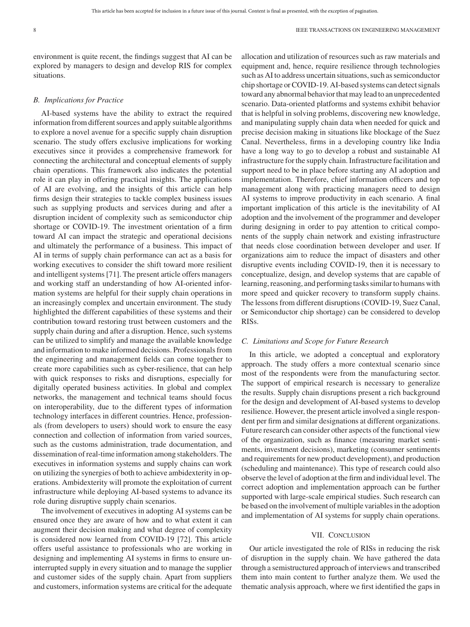environment is quite recent, the findings suggest that AI can be explored by managers to design and develop RIS for complex situations.

# *B. Implications for Practice*

AI-based systems have the ability to extract the required information from different sources and apply suitable algorithms to explore a novel avenue for a specific supply chain disruption scenario. The study offers exclusive implications for working executives since it provides a comprehensive framework for connecting the architectural and conceptual elements of supply chain operations. This framework also indicates the potential role it can play in offering practical insights. The applications of AI are evolving, and the insights of this article can help firms design their strategies to tackle complex business issues such as supplying products and services during and after a disruption incident of complexity such as semiconductor chip shortage or COVID-19. The investment orientation of a firm toward AI can impact the strategic and operational decisions and ultimately the performance of a business. This impact of AI in terms of supply chain performance can act as a basis for working executives to consider the shift toward more resilient and intelligent systems [71]. The present article offers managers and working staff an understanding of how AI-oriented information systems are helpful for their supply chain operations in an increasingly complex and uncertain environment. The study highlighted the different capabilities of these systems and their contribution toward restoring trust between customers and the supply chain during and after a disruption. Hence, such systems can be utilized to simplify and manage the available knowledge and information to make informed decisions. Professionals from the engineering and management fields can come together to create more capabilities such as cyber-resilience, that can help with quick responses to risks and disruptions, especially for digitally operated business activities. In global and complex networks, the management and technical teams should focus on interoperability, due to the different types of information technology interfaces in different countries. Hence, professionals (from developers to users) should work to ensure the easy connection and collection of information from varied sources, such as the customs administration, trade documentation, and dissemination of real-time information among stakeholders. The executives in information systems and supply chains can work on utilizing the synergies of both to achieve ambidexterity in operations. Ambidexterity will promote the exploitation of current infrastructure while deploying AI-based systems to advance its role during disruptive supply chain scenarios.

The involvement of executives in adopting AI systems can be ensured once they are aware of how and to what extent it can augment their decision making and what degree of complexity is considered now learned from COVID-19 [72]. This article offers useful assistance to professionals who are working in designing and implementing AI systems in firms to ensure uninterrupted supply in every situation and to manage the supplier and customer sides of the supply chain. Apart from suppliers and customers, information systems are critical for the adequate

allocation and utilization of resources such as raw materials and equipment and, hence, require resilience through technologies such as AI to address uncertain situations, such as semiconductor chip shortage or COVID-19. AI-based systems can detect signals toward any abnormal behavior that may lead to an unprecedented scenario. Data-oriented platforms and systems exhibit behavior that is helpful in solving problems, discovering new knowledge, and manipulating supply chain data when needed for quick and precise decision making in situations like blockage of the Suez Canal. Nevertheless, firms in a developing country like India have a long way to go to develop a robust and sustainable AI infrastructure for the supply chain. Infrastructure facilitation and support need to be in place before starting any AI adoption and implementation. Therefore, chief information officers and top management along with practicing managers need to design AI systems to improve productivity in each scenario. A final important implication of this article is the inevitability of AI adoption and the involvement of the programmer and developer during designing in order to pay attention to critical components of the supply chain network and existing infrastructure that needs close coordination between developer and user. If organizations aim to reduce the impact of disasters and other disruptive events including COVID-19, then it is necessary to conceptualize, design, and develop systems that are capable of learning, reasoning, and performing tasks similar to humans with more speed and quicker recovery to transform supply chains. The lessons from different disruptions (COVID-19, Suez Canal, or Semiconductor chip shortage) can be considered to develop RISs.

# *C. Limitations and Scope for Future Research*

In this article, we adopted a conceptual and exploratory approach. The study offers a more contextual scenario since most of the respondents were from the manufacturing sector. The support of empirical research is necessary to generalize the results. Supply chain disruptions present a rich background for the design and development of AI-based systems to develop resilience. However, the present article involved a single respondent per firm and similar designations at different organizations. Future research can consider other aspects of the functional view of the organization, such as finance (measuring market sentiments, investment decisions), marketing (consumer sentiments and requirements for new product development), and production (scheduling and maintenance). This type of research could also observe the level of adoption at the firm and individual level. The correct adoption and implementation approach can be further supported with large-scale empirical studies. Such research can be based on the involvement of multiple variables in the adoption and implementation of AI systems for supply chain operations.

# VII. CONCLUSION

Our article investigated the role of RISs in reducing the risk of disruption in the supply chain. We have gathered the data through a semistructured approach of interviews and transcribed them into main content to further analyze them. We used the thematic analysis approach, where we first identified the gaps in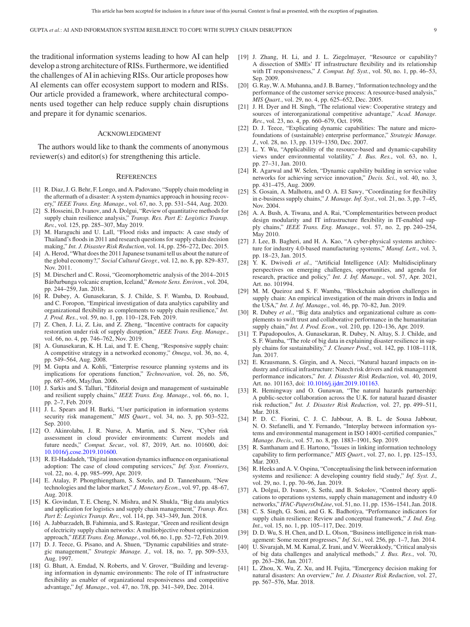the traditional information systems leading to how AI can help develop a strong architecture of RISs. Furthermore, we identified the challenges of AI in achieving RISs. Our article proposes how AI elements can offer ecosystem support to modern and RISs. Our article provided a framework, where architectural components used together can help reduce supply chain disruptions and prepare it for dynamic scenarios.

## ACKNOWLEDGMENT

The authors would like to thank the comments of anonymous reviewer(s) and editor(s) for strengthening this article.

#### **REFERENCES**

- [1] R. Diaz, J. G. Behr, F. Longo, and A. Padovano, "Supply chain modeling in the aftermath of a disaster: A system dynamics approach in housing recovery," *IEEE Trans. Eng. Manage.*, vol. 67, no. 3, pp. 531–544, Aug. 2020.
- [2] S. Hosseini, D. Ivanov, and A. Dolgui, "Review of quantitative methods for supply chain resilience analysis," *Transp. Res. Part E: Logistics Transp. Rev.*, vol. 125, pp. 285–307, May 2019.
- [3] M. Haraguchi and U. Lall, "Flood risks and impacts: A case study of Thailand's floods in 2011 and research questions for supply chain decision making," *Int. J. Disaster Risk Reduction*, vol. 14, pp. 256–272, Dec. 2015.
- [4] A. Herod, "What does the 2011 Japanese tsunami tell us about the nature of the global economy?," *Social Cultural Geogr.*, vol. 12, no. 8, pp. 829–837, Nov. 2011.
- [5] M. Dirscherl and C. Rossi, "Geomorphometric analysis of the 2014–2015 Bárðarbunga volcanic eruption, Iceland," *Remote Sens. Environ.*, vol. 204, pp. 244–259, Jan. 2018.
- [6] R. Dubey, A. Gunasekaran, S. J. Childe, S. F. Wamba, D. Roubaud, and C. Foropon, "Empirical investigation of data analytics capability and organizational flexibility as complements to supply chain resilience," *Int. J. Prod. Res.*, vol. 59, no. 1, pp. 110–128, Feb. 2019.
- [7] Z. Chen, J. Li, Z. Liu, and Z. Zheng, "Incentive contracts for capacity restoration under risk of supply disruption," *IEEE Trans. Eng. Manage.*, vol. 66, no. 4, pp. 746–762, Nov. 2019.
- [8] A. Gunasekaran, K. H. Lai, and T. E. Cheng, "Responsive supply chain: A competitive strategy in a networked economy," *Omega*, vol. 36, no. 4, pp. 549–564, Aug. 2008.
- [9] M. Gupta and A. Kohli, "Enterprise resource planning systems and its implications for operations function," *Technovation*, vol. 26, no. 5/6, pp. 687–696, May/Jun. 2006.
- [10] J. Sarkis and S. Talluri, "Editorial design and management of sustainable and resilient supply chains," *IEEE Trans. Eng. Manage.*, vol. 66, no. 1, pp. 2–7, Feb. 2019.
- [11] J. L. Spears and H. Barki, "User participation in information systems security risk management," *MIS Quart.*, vol. 34, no. 3, pp. 503–522, Sep. 2010.
- [12] O. Akinrolabu, J. R. Nurse, A. Martin, and S. New, "Cyber risk assessment in cloud provider environments: Current models and future needs," *Comput. Secur.*, vol. 87, 2019, Art. no. 101600, doi: [10.1016/j.cose.2019.101600.](https://dx.doi.org/10.1016/j.cose.2019.101600)
- [13] R. El-Haddadeh, "Digital innovation dynamics influence on organisational adoption: The case of cloud computing services," *Inf. Syst. Frontiers*, vol. 22, no. 4, pp. 985–999, Apr. 2019.
- [14] E. Atalay, P. Phongthiengtham, S. Sotelo, and D. Tannenbaum, "New technologies and the labor market," *J. Monetary Econ.*, vol. 97, pp. 48–67, Aug. 2018.
- [15] K. Govindan, T. E. Cheng, N. Mishra, and N. Shukla, "Big data analytics" and application for logistics and supply chain management," *Transp. Res. Part E: Logistics Transp. Rev.*, vol. 114, pp. 343–349, Jun. 2018.
- [16] A. Jabbarzadeh, B. Fahimnia, and S. Rastegar, "Green and resilient design of electricity supply chain networks: A multiobjective robust optimization approach," *IEEE Trans. Eng. Manage.*, vol. 66, no. 1, pp. 52–72, Feb. 2019.
- [17] D. J. Teece, G. Pisano, and A. Shuen, "Dynamic capabilities and strategic management," *Strategic Manage. J.*, vol. 18, no. 7, pp. 509–533, Aug. 1997.
- [18] G. Bhatt, A. Emdad, N. Roberts, and V. Grover, "Building and leveraging information in dynamic environments: The role of IT infrastructure flexibility as enabler of organizational responsiveness and competitive advantage," *Inf. Manage.*, vol. 47, no. 7/8, pp. 341–349, Dec. 2014.
- [19] J. Zhang, H. Li, and J. L. Ziegelmayer, "Resource or capability? A dissection of SMEs' IT infrastructure flexibility and its relationship with IT responsiveness," *J. Comput. Inf. Syst.*, vol. 50, no. 1, pp. 46–53, Sep. 2009.
- [20] G. Ray, W. A. Muhanna, and J. B. Barney, "Information technology and the performance of the customer service process: A resource-based analysis," *MIS Quart.*, vol. 29, no. 4, pp. 625–652, Dec. 2005.
- [21] J. H. Dyer and H. Singh, "The relational view: Cooperative strategy and sources of interorganizational competitive advantage," *Acad. Manage. Rev.*, vol. 23, no. 4, pp. 660–679, Oct. 1998.
- [22] D. J. Teece, "Explicating dynamic capabilities: The nature and microfoundations of (sustainable) enterprise performance," *Strategic Manage. J.*, vol. 28, no. 13, pp. 1319–1350, Dec. 2007.
- [23] L. Y. Wu, "Applicability of the resource-based and dynamic-capability views under environmental volatility," *J. Bus. Res.*, vol. 63, no. 1, pp. 27–31, Jan. 2010.
- [24] R. Agarwal and W. Selen, "Dynamic capability building in service value networks for achieving service innovation," *Decis. Sci.*, vol. 40, no. 3, pp. 431–475, Aug. 2009.
- [25] S. Gosain, A. Malhotra, and O. A. El Sawy, "Coordinating for flexibility in e-business supply chains," *J. Manage. Inf. Syst.*, vol. 21, no. 3, pp. 7–45, Nov. 2004.
- [26] A. A. Bush, A. Tiwana, and A. Rai, "Complementarities between product design modularity and IT infrastructure flexibility in IT-enabled supply chains," *IEEE Trans. Eng. Manage.*, vol. 57, no. 2, pp. 240–254, May 2010.
- [27] J. Lee, B. Bagheri, and H. A. Kao, "A cyber-physical systems architecture for industry 4.0-based manufacturing systems," *Manuf. Lett.*, vol. 3, pp. 18–23, Jan. 2015.
- [28] Y. K. Dwivedi *et al.*, "Artificial Intelligence (AI): Multidisciplinary perspectives on emerging challenges, opportunities, and agenda for research, practice and policy," *Int. J. Inf. Manage.*, vol. 57, Apr. 2021, Art. no. 101994.
- [29] M. M. Queiroz and S. F. Wamba, "Blockchain adoption challenges in supply chain: An empirical investigation of the main drivers in India and the USA," *Int. J. Inf. Manage.*, vol. 46, pp. 70–82, Jun. 2019.
- [30] R. Dubey *et al.*, "Big data analytics and organizational culture as complements to swift trust and collaborative performance in the humanitarian supply chain," *Int. J. Prod. Econ.*, vol. 210, pp. 120–136, Apr. 2019.
- [31] T. Papadopoulos, A. Gunasekaran, R. Dubey, N. Altay, S. J. Childe, and S. F. Wamba, "The role of big data in explaining disaster resilience in supply chains for sustainability," *J. Cleaner Prod.*, vol. 142, pp. 1108–1118, Jan. 2017.
- [32] E. Krausmann, S. Girgin, and A. Necci, "Natural hazard impacts on industry and critical infrastructure: Natech risk drivers and risk management performance indicators," *Int. J. Disaster Risk Reduction*, vol. 40, 2019, Art. no. 101163, doi: [10.1016/j.ijdrr.2019.101163.](https://dx.doi.org/10.1016/j.ijdrr.2019.101163.)
- [33] R. Hemingway and O. Gunawan, "The natural hazards partnership: A public-sector collaboration across the U.K. for natural hazard disaster risk reduction," *Int. J. Disaster Risk Reduction*, vol. 27, pp. 499–511, Mar. 2018.
- [34] P. D. C. Fiorini, C. J. C. Jabbour, A. B. L. de Sousa Jabbour, N. O. Stefanelli, and Y. Fernando, "Interplay between information systems and environmental management in ISO 14001-certified companies," *Manage. Decis.*, vol. 57, no. 8, pp. 1883–1901, Sep. 2019.
- [35] R. Santhanam and E. Hartono, "Issues in linking information technology capability to firm performance," *MIS Quart.*, vol. 27, no. 1, pp. 125–153, Mar. 2003.
- [36] R. Heeks and A. V. Ospina, "Conceptualising the link between information systems and resilience: A developing country field study," *Inf. Syst. J.*, vol. 29, no. 1, pp. 70–96, Jan. 2019.
- [37] A. Dolgui, D. Ivanov, S. Sethi, and B. Sokolov, "Control theory applications to operations systems, supply chain management and industry 4.0 networks," *IFAC-PapersOnLine*, vol. 51, no. 11, pp. 1536–1541, Jan. 2018.
- [38] C. S. Singh, G. Soni, and G. K. Badhotiya, "Performance indicators for supply chain resilience: Review and conceptual framework," *J. Ind. Eng. Int.*, vol. 15, no. 1, pp. 105–117, Dec. 2019.
- [39] D. D. Wu, S. H. Chen, and D. L. Olson, "Business intelligence in risk management: Some recent progresses," *Inf. Sci.*, vol. 256, pp. 1–7, Jan. 2014.
- [40] U. Sivarajah, M. M. Kamal, Z. Irani, and V. Weerakkody, "Critical analysis of big data challenges and analytical methods," *J. Bus. Res.*, vol. 70, pp. 263–286, Jan. 2017.
- [41] L. Zhou, X. Wu, Z. Xu, and H. Fujita, "Emergency decision making for natural disasters: An overview," *Int. J. Disaster Risk Reduction*, vol. 27, pp. 567–576, Mar. 2018.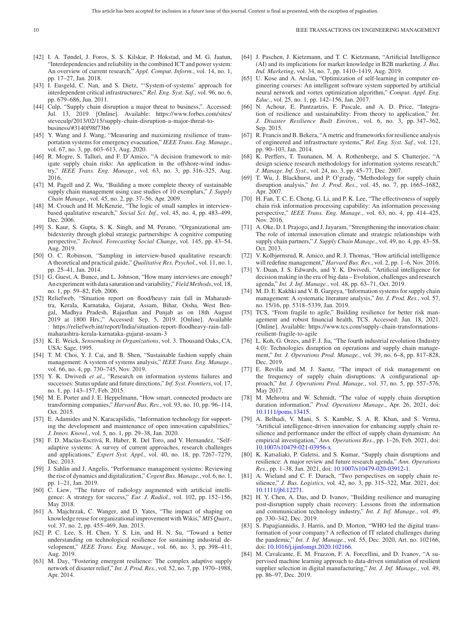- [42] I. A. Tøndel, J. Foros, S. S. Kilskar, P. Hokstad, and M. G. Jaatun, "Interdependencies and reliability in the combined ICT and power system: An overview of current research," *Appl. Comput. Inform.*, vol. 14, no. 1, pp. 17–27, Jan. 2018.
- [43] I. Eusgeld, C. Nan, and S. Dietz, "'System-of-systems' approach for interdependent critical infrastructures," *Rel. Eng. Syst. Saf.*, vol. 96, no. 6, pp. 679–686, Jun. 2011.
- [44] Culp, "Supply chain disruption a major threat to business,". Accessed: Jul. 13, 2019. [Online]. Available: [https://www.forbes.com/sites/](https://www.forbes.com/sites/steveculp/2013/02/15/supply-chain-disruption-a-major-threat-to-business/#3140f98f73b6) [steveculp/2013/02/15/supply-chain-disruption-a-major-threat-to](https://www.forbes.com/sites/steveculp/2013/02/15/supply-chain-disruption-a-major-threat-to-business/#3140f98f73b6)[business/#3140f98f73b6](https://www.forbes.com/sites/steveculp/2013/02/15/supply-chain-disruption-a-major-threat-to-business/#3140f98f73b6)
- [45] Y. Wang and J. Wang, "Measuring and maximizing resilience of transportation systems for emergency evacuation," *IEEE Trans. Eng. Manage.*, vol. 67, no. 3, pp. 603–613, Aug. 2020.
- [46] R. Mogre, S. Talluri, and F. D'Amico, "A decision framework to mitigate supply chain risks: An application in the offshore-wind industry," *IEEE Trans. Eng. Manage.*, vol. 63, no. 3, pp. 316–325, Aug. 2016.
- [47] M. Pagell and Z. Wu, "Building a more complete theory of sustainable supply chain management using case studies of 10 exemplars," *J. Supply Chain Manage.*, vol. 45, no. 2, pp. 37–56, Apr. 2009.
- [48] M. Crouch and H. McKenzie, "The logic of small samples in interviewbased qualitative research," *Social Sci. Inf.*, vol. 45, no. 4, pp. 483–499, Dec. 2006.
- [49] S. Kaur, S. Gupta, S. K. Singh, and M. Perano, "Organizational ambidexterity through global strategic partnerships: A cognitive computing perspective," *Technol. Forecasting Social Change*, vol. 145, pp. 43–54, Aug. 2019.
- [50] O. C. Robinson, "Sampling in interview-based qualitative research: A theoretical and practical guide," *Qualitative Res. Psychol.*, vol. 11, no. 1, pp. 25–41, Jan. 2014.
- [51] G. Guest, A. Bunce, and L. Johnson, "How many interviews are enough? An experiment with data saturation and variability,"*Field Methods*, vol. 18, no. 1, pp. 59–82, Feb. 2006.
- [52] Reliefweb, "Situation report on flood/heavy rain fall in Maharashtra, Kerala, Karnataka, Gujarat, Assam, Bihar, Oisha, West Bengal, Madhya Pradesh, Rajasthan and Punjab as on 18th August 2019 at 1800 Hrs.," Accessed: Sep. 5, 2019. [Online]. Available : [https://reliefweb.int/report/India/situation-report-floodheavy-rain-fall](https://reliefweb.int/report/India/situation-report-floodheavy-rain-fall-maharashtra-kerala-karnataka-gujarat-assam-3)[maharashtra-kerala-karnataka-gujarat-assam-3](https://reliefweb.int/report/India/situation-report-floodheavy-rain-fall-maharashtra-kerala-karnataka-gujarat-assam-3)
- [53] K. E. Weick, *Sensemaking in Organizations*, vol. 3. Thousand Oaks, CA, USA: Sage, 1995.
- [54] T. M. Choi, Y. J. Cai, and B. Shen, "Sustainable fashion supply chain management: A system of systems analysis," *IEEE Trans. Eng. Manage.*, vol. 66, no. 4, pp. 730–745, Nov. 2019.
- [55] Y. K. Dwivedi et al., "Research on information systems failures and successes: Status update and future directions," *Inf. Syst. Frontiers*, vol. 17, no. 1, pp. 143–157, Feb. 2015.
- [56] M. E. Porter and J. E. Heppelmann, "How smart, connected products are transforming companies," *Harvard Bus. Rev.*, vol. 93, no. 10, pp. 96–114, Oct. 2015.
- [57] E. Adamides and N. Karacapilidis, "Information technology for supporting the development and maintenance of open innovation capabilities," *J. Innov. Knowl.*, vol. 5, no. 1, pp. 29–38, Jan. 2020.
- [58] F. D. Macías-Escrivá, R. Haber, R. Del Toro, and V. Hernandez, "Selfadaptive systems: A survey of current approaches, research challenges and applications," *Expert Syst. Appl.*, vol. 40, no. 18, pp. 7267–7279, Dec. 2013.
- [59] J. Sahlin and J. Angelis, "Performance management systems: Reviewing the rise of dynamics and digitalization,"*Cogent Bus. Manage.*, vol. 6, no. 1, pp. 1–21, Jan. 2019.
- [60] C. Liew, "The future of radiology augmented with artificial intelligence: A strategy for success," *Eur. J. Radiol.*, vol. 102, pp. 152–156, May 2018.
- [61] A. Majchrzak, C. Wanger, and D. Yates, "The impact of shaping on knowledge reuse for organizational improvement with Wikis," *MIS Quart.*, vol. 37, no. 2, pp. 455–469, Jun. 2013.
- [62] P. C. Lee, S. H. Chen, Y. S. Lin, and H. N. Su, "Toward a better understanding on technological resilience for sustaining industrial development," *IEEE Trans. Eng. Manage.*, vol. 66, no. 3, pp. 398–411, Aug. 2019.
- [63] M. Day, "Fostering emergent resilience: The complex adaptive supply network of disaster relief," *Int. J. Prod. Res.*, vol. 52, no. 7, pp. 1970–1988, Apr. 2014.
- [64] J. Paschen, J. Kietzmann, and T. C. Kietzmann, "Artificial Intelligence (AI) and its implications for market knowledge in B2B marketing. *J. Bus. Ind. Marketing*, vol. 34, no. 7, pp. 1410–1419, Aug. 2019.
- [65] U. Kose and A. Arslan, "Optimization of self-learning in computer engineering courses: An intelligent software system supported by artificial neural network and vortex optimization algorithm," *Comput. Appl. Eng. Educ.*, vol. 25, no. 1, pp. 142–156, Jan. 2017.
- [66] N. Achour, E. Pantzartzis, F. Pascale, and A. D. Price, "Integration of resilience and sustainability: From theory to application," *Int. J. Disaster Resilience Built Environ.*, vol. 6, no. 3, pp. 347–362, Sep. 2015.
- [67] R. Francis and B. Bekera, "A metric and frameworks for resilience analysis of engineered and infrastructure systems," *Rel. Eng. Syst. Saf.*, vol. 121, pp. 90–103, Jan. 2014.
- [68] K. Perffers, T. Tuunanen, M. A. Rothenberge, and S. Chatterjee, "A design science research methodology for information systems research," *J. Manage. Inf. Syst.*, vol. 24, no. 3, pp. 45–77, Dec. 2007.
- [69] T. Wu, J. Blackhurst, and P. O'grady, "Methodology for supply chain disruption analysis," *Int. J. Prod. Res.*, vol. 45, no. 7, pp. 1665–1682, Apr. 2007.
- [70] H. Fan, T. C. E. Cheng, G. Li, and P. K. Lee, "The effectiveness of supply chain risk information processing capability: An information processing perspective," *IEEE Trans. Eng. Manage.*, vol. 63, no. 4, pp. 414–425, Nov. 2016.
- [71] A. Oke, D. I. Prajogo, and J. Jayaram, "Strengthening the innovation chain: The role of internal innovation climate and strategic relationships with supply chain partners," *J. Supply Chain Manage.*, vol. 49, no. 4, pp. 43–58, Oct. 2013.
- [72] V. Kolbjørnsrud, R. Amico, and R. J. Thomas, "How artificial intelligence will redefine management," *Harvard Bus. Rev.*, vol. 2, pp. 1–6, Nov. 2016.
- [73] Y. Duan, J. S. Edwards, and Y. K. Dwivedi, "Artificial intelligence for decision making in the era of big data – Evolution, challenges and research agenda," *Int. J. Inf. Manage.*, vol. 48, pp. 63–71, Oct. 2019.
- [74] M. D. E. Kakhki and V. B. Gargeya, "Information systems for supply chain management: A systematic literature analysis," *Int. J. Prod. Res.*, vol. 57, no. 15/16, pp. 5318–5339, Jan. 2019.
- [75] TCS, "From fragile to agile," Building resilience for better risk management and robust financial health, TCS. Accessed: Jan. 18, 2021. [Online]. Available: [https://www.tcs.com/supply-chain-transformations](https://www.tcs.com/supply-chain-transformations-resilient-fragile-to-agile)[resilient-fragile-to-agile](https://www.tcs.com/supply-chain-transformations-resilient-fragile-to-agile)
- [76] L. Koh, G. Orzes, and F. J. Jia, "The fourth industrial revolution (Industry 4.0): Technologies disruption on operations and supply chain management," *Int. J. Operations Prod. Manage.*, vol. 39, no. 6–8, pp. 817–828, Dec. 2019.
- [77] E. Revilla and M. J. Saenz, "The impact of risk management on the frequency of supply chain disruptions: A configurational approach," *Int. J. Operations Prod. Manage.*, vol. 37, no. 5, pp. 557–576, May 2017.
- [78] M. Mehrotra and W. Schmidt, "The value of supply chain disruption duration information," *Prod. Operations Manage.*, Apr. 26, 2021, doi: [10.1111/poms.13415.](https://dx.doi.org/10.1111/poms.13415)
- [79] A. Belhadi, V. Mani, S. S. Kamble, S. A. R. Khan, and S. Verma, "Artificial intelligence-driven innovation for enhancing supply chain resilience and performance under the effect of supply chain dynamism: An empirical investigation," *Ann. Operations Res.*, pp. 1–26, Feb. 2021, doi: [10.1007/s10479-021-03956-x.](https://dx.doi.org/10.1007/s10479-021-03956-x)
- [80] K. Katsaliaki, P. Galetsi, and S. Kumar, "Supply chain disruptions and resilience: A major review and future research agenda," *Ann. Operations Res.*, pp. 1–38, Jan. 2021, doi: [10.1007/s10479-020-03912-1.](https://dx.doi.org/10.1007/s10479-020-03912-1)
- [81] A. Wieland and C. F. Durach, "Two perspectives on supply chain resilience," *J. Bus. Logistics*, vol. 42, no. 3, pp. 315–322, Mar. 2021, doi: [10.1111/jbl.12271.](https://dx.doi.org/10.1111/jbl.12271)
- [82] H. Y. Chen, A. Das, and D. Ivanov, "Building resilience and managing post-disruption supply chain recovery: Lessons from the information and communication technology industry," *Int. J. Inf. Manage.*, vol. 49, pp. 330–342, Dec. 2019.
- [83] S. Papagiannidis, J. Harris, and D. Morton, "WHO led the digital transformation of your company? A reflection of IT related challenges during the pandemic," *Int. J. Inf. Manage.*, vol. 55, Dec. 2020, Art. no. 102166, doi: [10.1016/j.ijinfomgt.2020.102166.](https://dx.doi.org/10.1016/j.ijinfomgt.2020.102166)
- [84] M. Cavalcante, E. M. Frazzon, F. A. Forcellini, and D. Ivanov, "A supervised machine learning approach to data-driven simulation of resilient supplier selection in digital manufacturing," *Int. J. Inf. Manage.*, vol. 49, pp. 86–97, Dec. 2019.